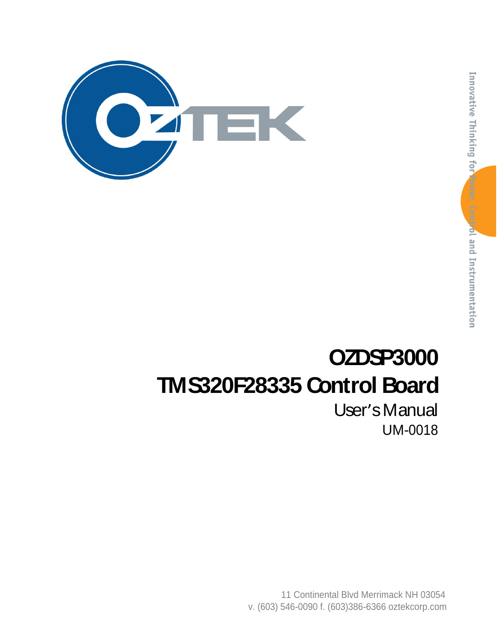

# **OZDSP3000 TMS320F28335 Control Board**

User's Manual UM-0018

11 Continental Blvd Merrimack NH 03054 v. (603) 546-0090 f. (603)386-6366 oztekcorp.com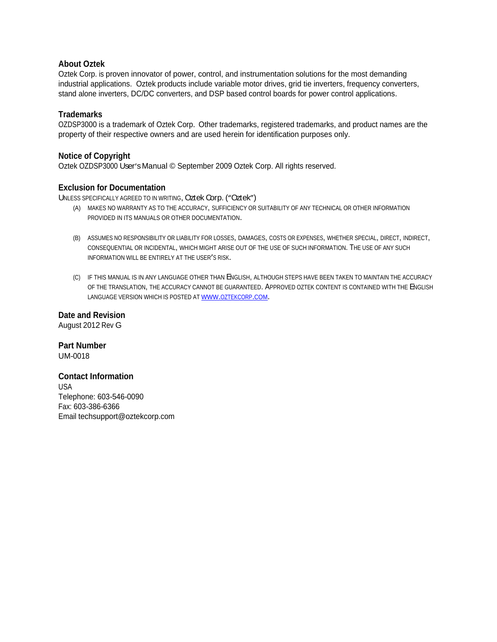#### **About Oztek**

Oztek Corp. is proven innovator of power, control, and instrumentation solutions for the most demanding industrial applications. Oztek products include variable motor drives, grid tie inverters, frequency converters, stand alone inverters, DC/DC converters, and DSP based control boards for power control applications.

#### **Trademarks**

OZDSP3000 is a trademark of Oztek Corp. Other trademarks, registered trademarks, and product names are the property of their respective owners and are used herein for identification purposes only.

#### **Notice of Copyright**

Oztek OZDSP3000 User's Manual © September 2009 Oztek Corp. All rights reserved.

#### **Exclusion for Documentation**

UNLESS SPECIFICALLY AGREED TO IN WRITING, Oztek Corp. ("Oztek")

- (A) MAKES NO WARRANTY AS TO THE ACCURACY, SUFFICIENCY OR SUITABILITY OF ANY TECHNICAL OR OTHER INFORMATION PROVIDED IN ITS MANUALS OR OTHER DOCUMENTATION.
- (B) ASSUMES NO RESPONSIBILITY OR LIABILITY FOR LOSSES, DAMAGES, COSTS OR EXPENSES, WHETHER SPECIAL, DIRECT, INDIRECT,<br>CONSEQUENTIAL OR INCIDENTAL, WHICH MIGHT ARISE OUT OF THE USE OF SUCH INFORMATION. THE USE OF ANY SUCH INFORMATION WILL BE ENTIRELY AT THE USER'S RISK.
- (C) IF THIS MANUAL IS IN ANY LANGUAGE OTHER THAN ENGLISH, ALTHOUGH STEPS HAVE BEEN TAKEN TO MAINTAIN THE ACCURACY OF THE TRANSLATION, THE ACCURACY CANNOT BE GUARANTEED. APPROVED OZTEK CONTENT IS CONTAINED WITH THE ENGLISH LANGUAGE VERSION WHICH IS POSTED AT WWW.OZTEKCORP.COM.

**Date and Revision** August 2012 Rev G

**Part Number** UM-0018

#### **Contact Information**

USA and the contract of the contract of the contract of the contract of the contract of the contract of the contract of the contract of the contract of the contract of the contract of the contract of the contract of the co Telephone: 603-546-0090 Fax: 603-386-6366 Email techsupport@oztekcorp.com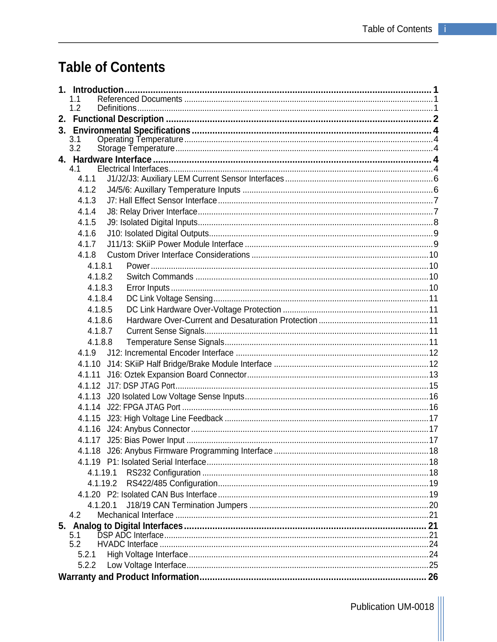# **Table of Contents**

| 1.1        |  |  |  |  |  |  |
|------------|--|--|--|--|--|--|
| 1.2        |  |  |  |  |  |  |
|            |  |  |  |  |  |  |
|            |  |  |  |  |  |  |
| 3.1<br>3.2 |  |  |  |  |  |  |
|            |  |  |  |  |  |  |
| 4.1        |  |  |  |  |  |  |
| 4.1.1      |  |  |  |  |  |  |
| 4.1.2      |  |  |  |  |  |  |
| 4.1.3      |  |  |  |  |  |  |
| 4.1.4      |  |  |  |  |  |  |
| 4.1.5      |  |  |  |  |  |  |
| 4.1.6      |  |  |  |  |  |  |
| 4.1.7      |  |  |  |  |  |  |
| 4.1.8      |  |  |  |  |  |  |
| 4.1.8.1    |  |  |  |  |  |  |
| 4.1.8.2    |  |  |  |  |  |  |
| 4.1.8.3    |  |  |  |  |  |  |
| 4.1.8.4    |  |  |  |  |  |  |
| 4.1.8.5    |  |  |  |  |  |  |
| 4.1.8.6    |  |  |  |  |  |  |
| 4.1.8.7    |  |  |  |  |  |  |
| 4.1.8.8    |  |  |  |  |  |  |
| 4.1.9      |  |  |  |  |  |  |
| 4.1.10     |  |  |  |  |  |  |
| 4.1.11     |  |  |  |  |  |  |
| 4.1.12     |  |  |  |  |  |  |
| 4.1.13     |  |  |  |  |  |  |
| 4.1.14     |  |  |  |  |  |  |
| 4.1.15     |  |  |  |  |  |  |
| 4.1.16     |  |  |  |  |  |  |
|            |  |  |  |  |  |  |
|            |  |  |  |  |  |  |
|            |  |  |  |  |  |  |
| 4.1.19.1   |  |  |  |  |  |  |
| 4.1.19.2   |  |  |  |  |  |  |
|            |  |  |  |  |  |  |
| 4.1.20.1   |  |  |  |  |  |  |
| 4.2        |  |  |  |  |  |  |
|            |  |  |  |  |  |  |
| 5.1        |  |  |  |  |  |  |
| 5.2        |  |  |  |  |  |  |
| 5.2.1      |  |  |  |  |  |  |
| 5.2.2      |  |  |  |  |  |  |
|            |  |  |  |  |  |  |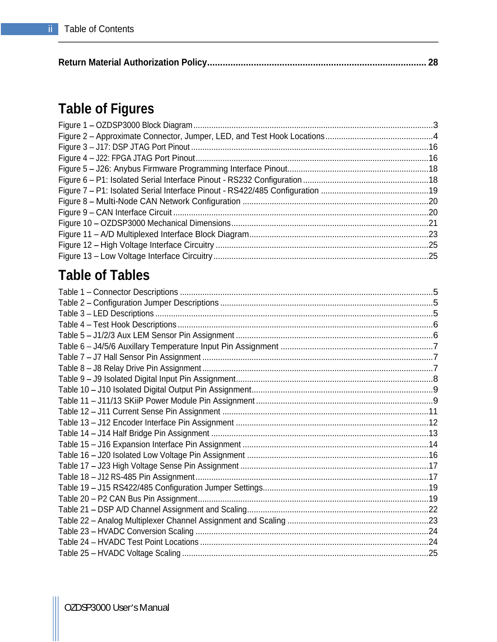| <b>Return Material Authorization</b><br>-alian Dalia<br>г оны |  |  |
|---------------------------------------------------------------|--|--|
|---------------------------------------------------------------|--|--|

# **Table of Figures**

| Figure 1 - OZDSP3000 Block Diagram                                        |  |
|---------------------------------------------------------------------------|--|
| Figure 2 - Approximate Connector, Jumper, LED, and Test Hook Locations    |  |
| Figure 3 - J17: DSP JTAG Port Pinout                                      |  |
| Figure 4 - J22: FPGA JTAG Port Pinout                                     |  |
| Figure 5 - J26: Anybus Firmware Programming Interface Pinout              |  |
| Figure 6 - P1: Isolated Serial Interface Pinout - RS232 Configuration     |  |
| Figure 7 - P1: Isolated Serial Interface Pinout - RS422/485 Configuration |  |
| Figure 8 - Multi-Node CAN Network Configuration                           |  |
| Figure 9 - CAN Interface Circuit                                          |  |
| Figure 10 - OZDSP3000 Mechanical Dimensions                               |  |
| Figure 11 - A/D Multiplexed Interface Block Diagram                       |  |
| Figure 12 - High Voltage Interface Circuitry                              |  |
| Figure 13 - Low Voltage Interface Circuitry                               |  |
|                                                                           |  |

# **Table of Tables**

| Table 1 - Connector Descriptions.                             |  |
|---------------------------------------------------------------|--|
| Table 2 - Configuration Jumper Descriptions.                  |  |
| Table 3 - LED Descriptions                                    |  |
| Table 4 - Test Hook Descriptions.                             |  |
| Table 5 - J1/2/3 Aux LEM Sensor Pin Assignment                |  |
| Table 6 - J4/5/6 Auxillary Temperature Input Pin Assignment.  |  |
| Table 7 - J7 Hall Sensor Pin Assignment.                      |  |
| Table 8 - J8 Relay Drive Pin Assignment.                      |  |
| Table 9 - J9 Isolated Digital Input Pin Assignment.           |  |
| Table 10 - J10 Isolated Digital Output Pin Assignment.        |  |
| Table 11 - J11/13 SKiiP Power Module Pin Assignment.          |  |
| Table 12 - J11 Current Sense Pin Assignment.                  |  |
| Table 13 - J12 Encoder Interface Pin Assignment               |  |
| Table 14 - J14 Half Bridge Pin Assignment.                    |  |
| Table 15 - J16 Expansion Interface Pin Assignment             |  |
|                                                               |  |
| Table 16 - J20 Isolated Low Voltage Pin Assignment            |  |
| Table 17 - J23 High Voltage Sense Pin Assignment              |  |
| Table 18 - J12 RS-485 Pin Assignment.                         |  |
| Table 19 - J15 RS422/485 Configuration Jumper Settings        |  |
| Table 20 - P2 CAN Bus Pin Assignment.                         |  |
| Table 21 - DSP A/D Channel Assignment and Scaling.            |  |
| Table 22 - Analog Multiplexer Channel Assignment and Scaling. |  |
| Table 23 - HVADC Conversion Scaling.                          |  |
| Table 24 - HVADC Test Point Locations                         |  |
| Table 25 - HVADC Voltage Scaling.                             |  |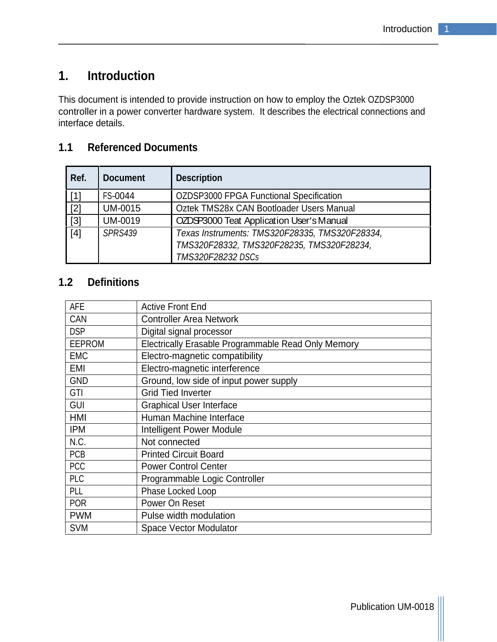# **1. Introduction**

This document is intended to provide instruction on how to employ the Oztek OZDSP3000 controller in a power converter hardware system. It describes the electrical connections and interface details.

## **1.1 Referenced Documents**

| Ref.  | Document       | Description                                                                                                      |
|-------|----------------|------------------------------------------------------------------------------------------------------------------|
| [1]   | <b>FS-0044</b> | OZDSP3000 FPGA Functional Specification                                                                          |
| $[2]$ | <b>UM-0015</b> | Oztek TMS28x CAN Bootloader Users Manual                                                                         |
| $[3]$ | UM-0019        | OZDSP3000 Teat Application User's Manual                                                                         |
| [4]   | <b>SPRS439</b> | Texas Instruments: TMS320F28335, TMS320F28334,<br>TMS320F28332, TMS320F28235, TMS320F28234,<br>TMS320F28232 DSCs |

### **1.2 Definitions**

| AFE               | Active Front End                                    |
|-------------------|-----------------------------------------------------|
|                   | Controller Area Network                             |
| CAN<br>DSP        | Digital signal processor                            |
| EEPROM            | Electrically Erasable Programmable Read Only Memory |
| EMC               | Electro-magnetic compatibility                      |
| EMI               | Electro-magnetic interference                       |
| GND               | Ground, low side of input power supply              |
| GTI               | Grid Tied Inverter                                  |
| $\frac{GUI}{HMI}$ | Graphical User Interface                            |
|                   | Human Machine Interface                             |
| <b>IPM</b>        | Intelligent Power Module                            |
| N.C.              | Not connected                                       |
| PCB               | Printed Circuit Board                               |
| $ $ PCC           | Power Control Center                                |
| $ $ PLC           | Programmable Logic Controller                       |
| PLL               | <b>Phase Locked Loop</b>                            |
| POR               | Power On Reset                                      |
| <b>PWM</b>        | Pulse width modulation                              |
| <b>SVM</b>        | Space Vector Modulator                              |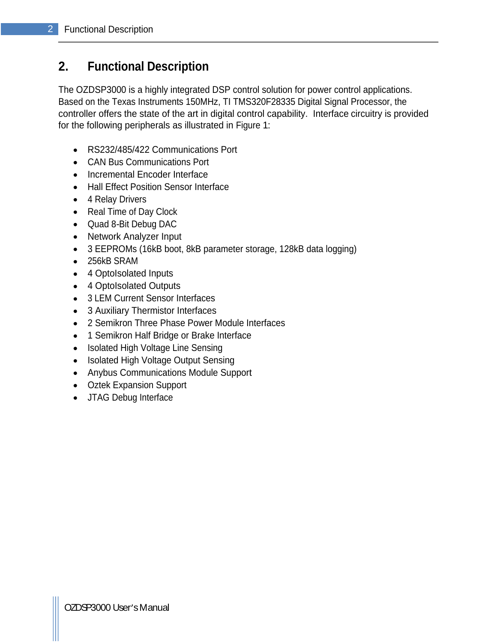# **2. Functional Description**

The OZDSP3000 is a highly integrated DSP control solution for power control applications. Based on the Texas Instruments 150MHz, TI TMS320F28335 Digital Signal Processor, the controller offers the state of the art in digital control capability. Interface circuitry is provided for the following peripherals as illustrated in Figure 1:

- RS232/485/422 Communications Port
- CAN Bus Communications Port
- Incremental Encoder Interface
- Hall Effect Position Sensor Interface
- 4 Relay Drivers
- Real Time of Day Clock
- Quad 8-Bit Debug DAC
- Network Analyzer Input
- 3 EEPROMs (16kB boot, 8kB parameter storage, 128kB data logging)
- 256kB SRAM
- 4 OptoIsolated Inputs
- 4 OptoIsolated Outputs
- 3 LEM Current Sensor Interfaces
- 3 Auxiliary Thermistor Interfaces
- 2 Semikron Three Phase Power Module Interfaces
- 1 Semikron Half Bridge or Brake Interface
- Isolated High Voltage Line Sensing
- Isolated High Voltage Output Sensing
- Anybus Communications Module Support
- Oztek Expansion Support
- JTAG Debug Interface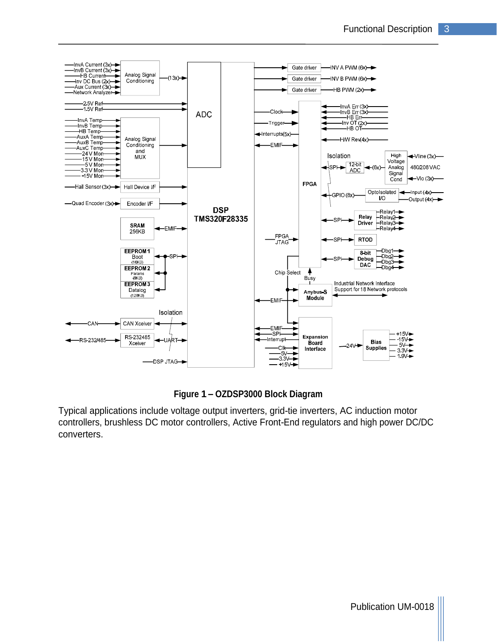

#### **Figure 1 OZDSP3000 Block Diagram**

Typical applications include voltage output inverters, grid-tie inverters, AC induction motor controllers, brushless DC motor controllers, Active Front-End regulators and high power DC/DC converters.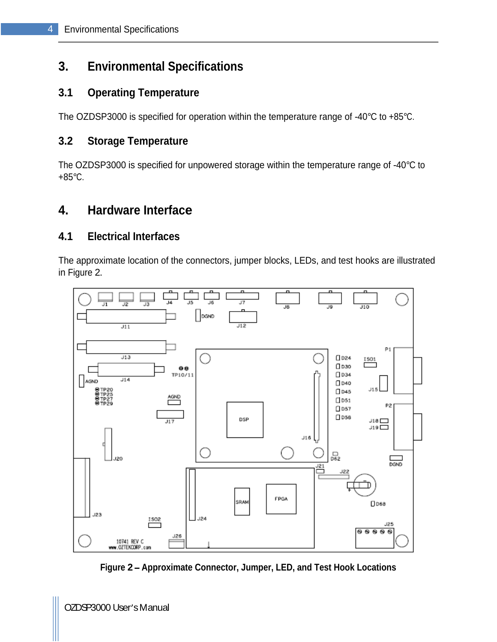# **3. Environmental Specifications**

## **3.1 Operating Temperature**

The OZDSP3000 is specified for operation within the temperature range of -40°C to +85°C.

### **3.2 Storage Temperature**

The OZDSP3000 is specified for unpowered storage within the temperature range of -40°C to +85°C.

# **4. Hardware Interface**

#### **4.1 Electrical Interfaces**

The approximate location of the connectors, jumper blocks, LEDs, and test hooks are illustrated in Figure 2.



**Figure 2 Approximate Connector, Jumper, LED, and Test Hook Locations**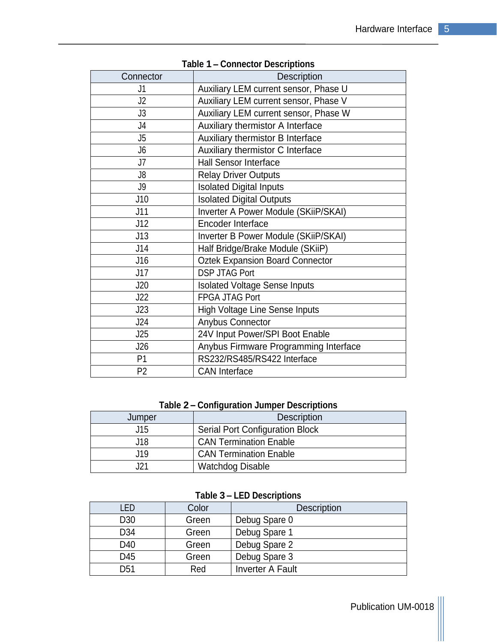|                 | <b>I AVIC I - CONNECTOR DESCRIPTIONS</b> |
|-----------------|------------------------------------------|
| Connector       | Description                              |
| J1              | Auxiliary LEM current sensor, Phase U    |
| J2              | Auxiliary LEM current sensor, Phase V    |
| J3              | Auxiliary LEM current sensor, Phase W    |
| J4              | Auxiliary thermistor A Interface         |
| $\overline{15}$ | Auxiliary thermistor B Interface         |
| J6              | Auxiliary thermistor C Interface         |
| $\overline{17}$ | Hall Sensor Interface                    |
| $\mathsf{J}8$   | <b>Relay Driver Outputs</b>              |
| J9              | <b>Isolated Digital Inputs</b>           |
| J10             | <b>Isolated Digital Outputs</b>          |
| J11             | Inverter A Power Module (SKiiP/SKAI)     |
| J12             | Encoder Interface                        |
| J13             | Inverter B Power Module (SKiiP/SKAI)     |
| J14             | Half Bridge/Brake Module (SKiiP)         |
| J16             | Oztek Expansion Board Connector          |
| J17             | DSP JTAG Port                            |
| J20             | <b>Isolated Voltage Sense Inputs</b>     |
| J22             | FPGA JTAG Port                           |
| J23             | High Voltage Line Sense Inputs           |
| J24             | Anybus Connector                         |
| J25             | 24V Input Power/SPI Boot Enable          |
| J26             | Anybus Firmware Programming Interface    |
| <b>P1</b>       | RS232/RS485/RS422 Interface              |
| <b>P2</b>       | <b>CAN</b> Interface                     |

**Table 1 Connector Descriptions**

#### **Table 2 Configuration Jumper Descriptions**

| Jumper          | <b>Description</b>              |
|-----------------|---------------------------------|
| .<br><b>UIV</b> | Serial Port Configuration Block |
| .               | CAN Termination Enable          |
| .               | CAN Termination Enable          |
| $\sim$<br>ا ڪٽ  | <b>Watchdog Disable</b>         |

#### **Table 3 LED Descriptions**

| LED             | Color | Description                |
|-----------------|-------|----------------------------|
| D30             | Green | <sup>1</sup> Debug Spare 0 |
| D34             | Green | Debug Spare 1              |
| D40             | Green | <sup>1</sup> Debug Spare 2 |
| D45             | Green | Debug Spare 3              |
| D <sub>51</sub> | Red   | Inverter A Fault           |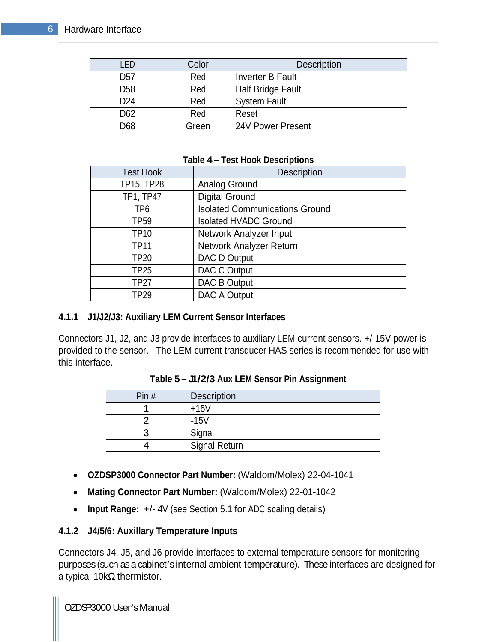| <b>LED</b>      | Color | <b>Description</b>  |
|-----------------|-------|---------------------|
| D <sub>57</sub> | Red   | Inverter B Fault    |
| D <sub>58</sub> | Red   | Half Bridge Fault   |
| D <sub>24</sub> | Red   | <b>System Fault</b> |
| D62             | Red   | Reset               |
| D68             | Green | 124V Power Present  |

#### **Table 4 Test Hook Descriptions**

| <b>Test Hook</b> | Description                    |
|------------------|--------------------------------|
| TP15, TP28       | Analog Ground                  |
| TP1, TP47        | Digital Ground                 |
| TP <sub>6</sub>  | Isolated Communications Ground |
| <b>TP59</b>      | Isolated HVADC Ground          |
| <b>TP10</b>      | Network Analyzer Input         |
| <b>TP11</b>      | Network Analyzer Return        |
| <b>TP20</b>      | DAC D Output                   |
| <b>TP25</b>      | DAC C Output                   |
| <b>TP27</b>      | DAC B Output                   |
| <b>TP29</b>      | DAC A Output                   |

#### **4.1.1 J1/J2/J3: Auxiliary LEM Current Sensor Interfaces**

Connectors J1, J2, and J3 provide interfaces to auxiliary LEM current sensors. +/-15V power is provided to the sensor. The LEM current transducer HAS series is recommended for use with this interface.

| Table 5 - J1/2/3 Aux LEM Sensor Pin Assignment |  |  |
|------------------------------------------------|--|--|
|                                                |  |  |

| Pin $#$ | <b>Description</b>              |
|---------|---------------------------------|
|         | $\sim$ $ \sim$<br>. 1 L<br>∣ ≀∪ |
|         | $\mathbf{A}$                    |
|         |                                 |
|         | $ -$<br>Signal Return<br>◡      |

- **OZDSP3000 Connector Part Number:** (Waldom/Molex) 22-04-1041
- **Mating Connector Part Number:** (Waldom/Molex) 22-01-1042
- **Input Range:** +/- 4V (see Section 5.1 for ADC scaling details)  $\bullet$

#### **4.1.2 J4/5/6: Auxillary Temperature Inputs**

Connectors J4, J5, and J6 provide interfaces to external temperature sensors for monitoring purposes (such as a cabinet's internal ambient temperature). These interfaces are designed for a typical  $10k\Omega$  thermistor.

OZDSP3000 User's Manual control of the control of the control of the control of the control of the control of the control of the control of the control of the control of the control of the control of the control of the con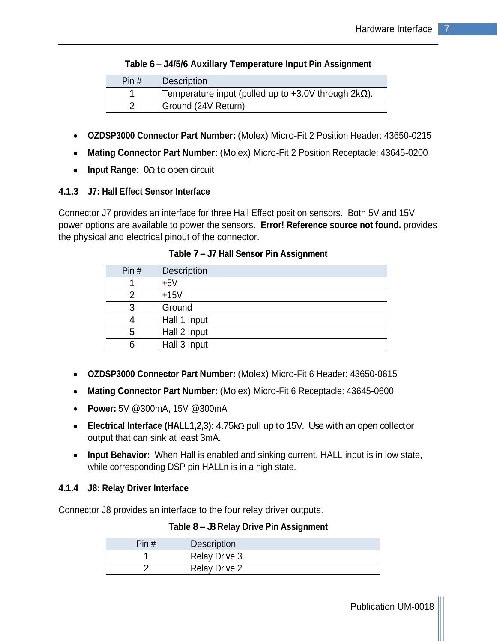| Pin # | Description                                                 |
|-------|-------------------------------------------------------------|
|       | Temperature input (pulled up to +3.0V through $2k\Omega$ ). |
|       | Ground (24V Return)                                         |

#### **Table 6 J4/5/6 Auxillary Temperature Input Pin Assignment**

- **OZDSP3000 Connector Part Number:** (Molex) Micro-Fit 2 Position Header: 43650-0215
- **Mating Connector Part Number:** (Molex) Micro-Fit 2 Position Receptacle: 43645-0200
- Input Range:  $0\Omega$  to open circuit

#### **4.1.3 J7: Hall Effect Sensor Interface**

Connector J7 provides an interface for three Hall Effect position sensors. Both 5V and 15V power options are available to power the sensors. **Error! Reference source not found.** provides the physical and electrical pinout of the connector.

| Pin $#$ | <b>Description</b>     |
|---------|------------------------|
|         | $\blacksquare$<br>-+51 |
| _       | $+15V$                 |
|         | <sup>I</sup> Ground    |
|         | Hall 1 Input           |
|         | Hall 2 Input           |
|         | Hall 3 Input           |

**Table 7 J7 Hall Sensor Pin Assignment**

- **OZDSP3000 Connector Part Number:** (Molex) Micro-Fit 6 Header: 43650-0615
- **Mating Connector Part Number:** (Molex) Micro-Fit 6 Receptacle: 43645-0600
- **Power:** 5V @300mA, 15V @300mA
- Electrical Interface (HALL1,2,3): 4.75kΩ pull up to 15V. Use with an open collector output that can sink at least 3mA.
- **Input Behavior:** When Hall is enabled and sinking current, HALL input is in low state, while corresponding DSP pin HALLn is in a high state.

#### **4.1.4 J8: Relay Driver Interface**

Connector J8 provides an interface to the four relay driver outputs.

**Table 8 J8 Relay Drive Pin Assignment**

| $-1$<br>Pin # | <b>Description</b> |
|---------------|--------------------|
|               | * Drive 3<br>Relav |
|               | Relay Drive 2      |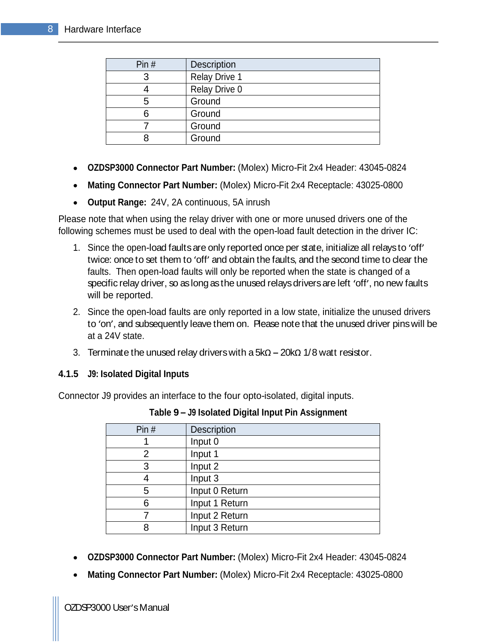| Pin # | Description          |
|-------|----------------------|
|       | <b>Relay Drive 1</b> |
|       | Relay Drive 0        |
|       | Ground               |
|       | Ground               |
|       | Ground               |
|       | Ground               |

- **OZDSP3000 Connector Part Number:** (Molex) Micro-Fit 2x4 Header: 43045-0824
- **Mating Connector Part Number:** (Molex) Micro-Fit 2x4 Receptacle: 43025-0800  $\bullet$
- **Output Range:** 24V, 2A continuous, 5A inrush

Please note that when using the relay driver with one or more unused drivers one of the following schemes must be used to deal with the open-load fault detection in the driver IC:

- 1. Since the open-load faults are only reported once per state, initialize all relaysto 'off' twice: once to set them to 'off' and obtain the faults, and the second time to clear the faults. Then open-load faults will only be reported when the state is changed of a specific relay driver, so as long as the unused relays drivers are left 'off', no new faults will be reported.
- 2. Since the open-load faults are only reported in a low state, initialize the unused drivers to 'on', and subsequently leave them on. Please note that the unused driver pins will be at a 24V state.
- 3. Terminate the unused relay drivers with a  $5k\Omega 20k\Omega$  1/8 watt resistor.

#### **4.1.5 J9: Isolated Digital Inputs**

Connector J9 provides an interface to the four opto-isolated, digital inputs.

| Pin# | Description    |
|------|----------------|
|      | Input 0        |
|      | Input 1        |
|      | Input 2        |
|      | Input 3        |
|      | Input 0 Return |
|      | Input 1 Return |
|      | Input 2 Return |
|      | Input 3 Return |

**Table 9 J9 Isolated Digital Input Pin Assignment**

- **OZDSP3000 Connector Part Number:** (Molex) Micro-Fit 2x4 Header: 43045-0824
- **Mating Connector Part Number:** (Molex) Micro-Fit 2x4 Receptacle: 43025-0800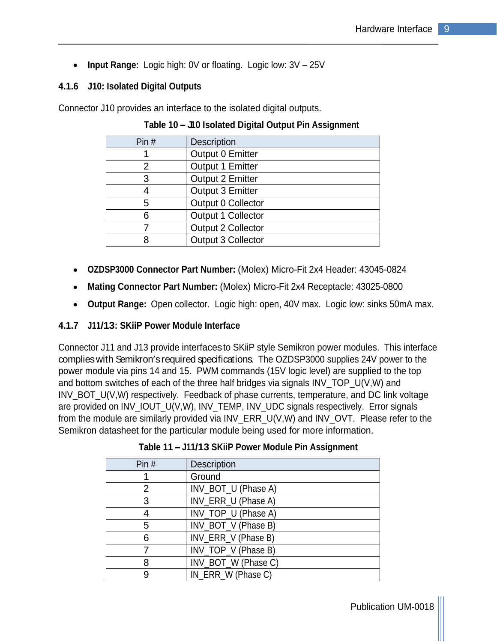• Input Range: Logic high: 0V or floating. Logic low: 3V - 25V

#### **4.1.6 J10: Isolated Digital Outputs**

Connector J10 provides an interface to the isolated digital outputs.

| Pin# | Description             |
|------|-------------------------|
|      | Output 0 Emitter        |
|      | Output 1 Emitter        |
|      | <b>Output 2 Emitter</b> |
|      | Output 3 Emitter        |
|      | Output 0 Collector      |
|      | Output 1 Collector      |
|      | Output 2 Collector      |
|      | Output 3 Collector      |

#### **Table 10 J10 Isolated Digital Output Pin Assignment**

- **OZDSP3000 Connector Part Number:** (Molex) Micro-Fit 2x4 Header: 43045-0824
- **Mating Connector Part Number:** (Molex) Micro-Fit 2x4 Receptacle: 43025-0800  $\bullet$
- **Output Range:** Open collector. Logic high: open, 40V max. Logic low: sinks 50mA max.  $\bullet$

#### **4.1.7 J11/13: SKiiP Power Module Interface**

Connector J11 and J13 provide interfacesto SKiiP style Semikron power modules. This interface complies with Semikron's required specifications. The OZDSP3000 supplies 24V power to the power module via pins 14 and 15. PWM commands (15V logic level) are supplied to the top and bottom switches of each of the three half bridges via signals INV\_TOP\_U(V,W) and INV\_BOT\_U(V,W) respectively. Feedback of phase currents, temperature, and DC link voltage are provided on INV\_IOUT\_U(V,W), INV\_TEMP, INV\_UDC signals respectively. Error signals from the module are similarly provided via INV\_ERR\_U(V,W) and INV\_OVT. Please refer to the Semikron datasheet for the particular module being used for more information.

| Pin $#$ | Description         |
|---------|---------------------|
|         | Ground              |
|         | INV_BOT_U (Phase A) |
|         | INV_ERR_U (Phase A) |
|         | INV_TOP_U (Phase A) |
|         | INV_BOT_V (Phase B) |
|         | INV_ERR_V (Phase B) |
|         | INV_TOP_V (Phase B) |
|         | INV_BOT_W (Phase C) |
|         | IN_ERR_W (Phase C)  |

#### **Table 11 J11/13 SKiiP Power Module Pin Assignment**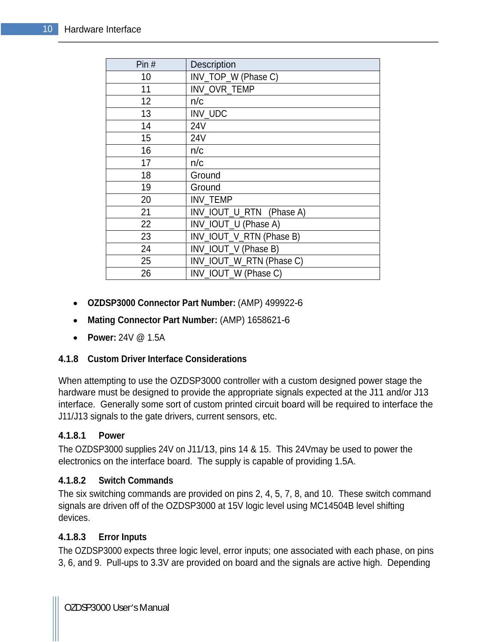| Pin $#$ | <b>Description</b>       |
|---------|--------------------------|
| 10      | INV_TOP_W (Phase C)      |
| 11      | INV_OVR_TEMP             |
| 12      | n/c                      |
| 13      | INV_UDC                  |
| 14      | <b>24V</b>               |
| 15      | <b>24V</b>               |
| 16      | n/c                      |
| 17      | n/c                      |
| 18      | Ground                   |
| 19      | Ground                   |
| 20      | NV_TEMP                  |
| 21      | NV_IOUT_U_RTN (Phase A)  |
| 22      | INV_IOUT_U (Phase A)     |
| 23      | INV_IOUT_V_RTN (Phase B) |
| 24      | INV_IOUT_V (Phase B)     |
| 25      | INV_IOUT_W_RTN (Phase C) |
| 26      | INV_IOUT_W (Phase C)     |

- **OZDSP3000 Connector Part Number:** (AMP) 499922-6
- **Mating Connector Part Number:** (AMP) 1658621-6
- **Power:** 24V @ 1.5A

#### **4.1.8 Custom Driver Interface Considerations**

When attempting to use the OZDSP3000 controller with a custom designed power stage the hardware must be designed to provide the appropriate signals expected at the J11 and/or J13 interface. Generally some sort of custom printed circuit board will be required to interface the J11/J13 signals to the gate drivers, current sensors, etc.

#### **4.1.8.1 Power**

The OZDSP3000 supplies 24V on J11/13, pins 14 & 15. This 24Vmay be used to power the electronics on the interface board. The supply is capable of providing 1.5A.

#### **4.1.8.2 Switch Commands**

The six switching commands are provided on pins 2, 4, 5, 7, 8, and 10. These switch command signals are driven off of the OZDSP3000 at 15V logic level using MC14504B level shifting devices. The contract of the contract of the contract of the contract of the contract of the contract of the contract of the contract of the contract of the contract of the contract of the contract of the contract of the c

#### **4.1.8.3 Error Inputs**

The OZDSP3000 expects three logic level, error inputs; one associated with each phase, on pins 3, 6, and 9. Pull-ups to 3.3V are provided on board and the signals are active high. Depending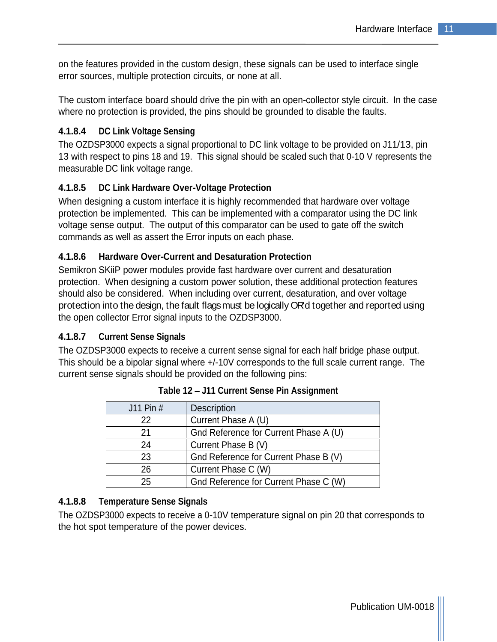on the features provided in the custom design, these signals can be used to interface single error sources, multiple protection circuits, or none at all.

The custom interface board should drive the pin with an open-collector style circuit. In the case where no protection is provided, the pins should be grounded to disable the faults.

#### **4.1.8.4 DC Link Voltage Sensing**

The OZDSP3000 expects a signal proportional to DC link voltage to be provided on J11/13, pin 13 with respect to pins 18 and 19. This signal should be scaled such that 0-10 V represents the measurable DC link voltage range.

#### **4.1.8.5 DC Link Hardware Over-Voltage Protection**

When designing a custom interface it is highly recommended that hardware over voltage protection be implemented. This can be implemented with a comparator using the DC link voltage sense output. The output of this comparator can be used to gate off the switch commands as well as assert the Error inputs on each phase.

#### **4.1.8.6 Hardware Over-Current and Desaturation Protection**

Semikron SKiiP power modules provide fast hardware over current and desaturation protection. When designing a custom power solution, these additional protection features should also be considered. When including over current, desaturation, and over voltage protection into the design, the fault flags must be logically OR'd together and reported using the open collector Error signal inputs to the OZDSP3000.

#### **4.1.8.7 Current Sense Signals**

The OZDSP3000 expects to receive a current sense signal for each half bridge phase output. This should be a bipolar signal where +/-10V corresponds to the full scale current range. The current sense signals should be provided on the following pins:

| J11 Pin # | Description                           |
|-----------|---------------------------------------|
| 22        | Current Phase A (U)                   |
| $\Omega$  | Gnd Reference for Current Phase A (U) |
| 24        | Current Phase B (V)                   |
| າາ<br>∠∪  | Gnd Reference for Current Phase B (V) |
| 26        | Current Phase C (W)                   |
| つに<br>∠∪  | Gnd Reference for Current Phase C (W) |

**Table 12 J11 Current Sense Pin Assignment**

#### **4.1.8.8 Temperature Sense Signals**

The OZDSP3000 expects to receive a 0-10V temperature signal on pin 20 that corresponds to the hot spot temperature of the power devices.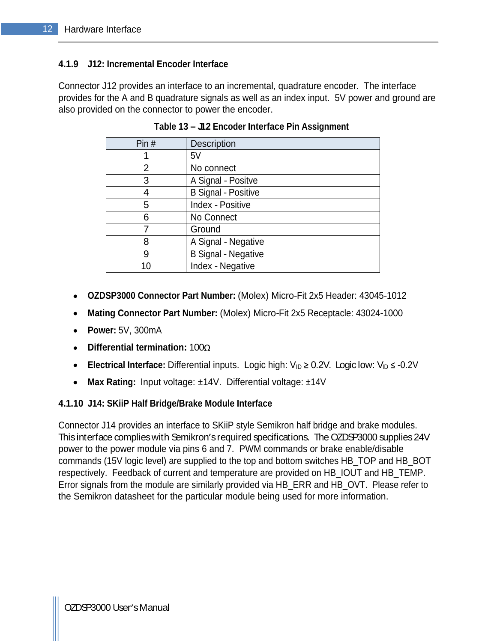#### **4.1.9 J12: Incremental Encoder Interface**

Connector J12 provides an interface to an incremental, quadrature encoder. The interface provides for the A and B quadrature signals as well as an index input. 5V power and ground are also provided on the connector to power the encoder.

| Pin $#$         | Description         |
|-----------------|---------------------|
|                 | E1                  |
|                 | No connect          |
|                 | A Signal - Positve  |
|                 | B Signal - Positive |
|                 | Index - Positive    |
|                 | No Connect          |
|                 | Ground              |
|                 | A Signal - Negative |
|                 | B Signal - Negative |
| 10 <sup>°</sup> | Index - Negative    |

 **Table 13 J12 Encoder Interface Pin Assignment**

- **OZDSP3000 Connector Part Number:** (Molex) Micro-Fit 2x5 Header: 43045-1012
- **Mating Connector Part Number:** (Molex) Micro-Fit 2x5 Receptacle: 43024-1000
- **Power:** 5V, 300mA
- **Differential termination:** 100
- **Electrical Interface:** Differential inputs. Logic high:  $V_{ID} \ge 0.2V$ . Logic low:  $V_{ID} \le -0.2V$
- $\bullet$ **Max Rating:** Input voltage: ±14V. Differential voltage: ±14V

#### **4.1.10 J14: SKiiP Half Bridge/Brake Module Interface**

Connector J14 provides an interface to SKiiP style Semikron half bridge and brake modules. This interface complies with Semikron's required specifications. The OZDSP3000 supplies 24V power to the power module via pins 6 and 7. PWM commands or brake enable/disable commands (15V logic level) are supplied to the top and bottom switches HB\_TOP and HB\_BOT respectively. Feedback of current and temperature are provided on HB\_IOUT and HB\_TEMP. Error signals from the module are similarly provided via HB\_ERR and HB\_OVT. Please refer to the Semikron datasheet for the particular module being used for more information.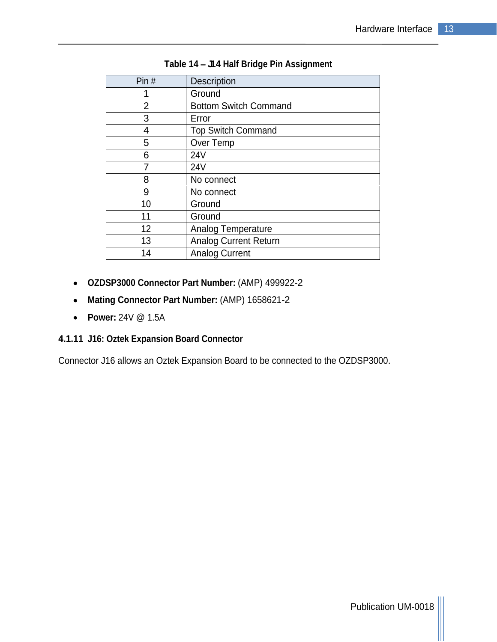| Pin#            | Description                  |
|-----------------|------------------------------|
|                 | Ground                       |
|                 | Bottom Switch Command        |
|                 | Error                        |
|                 | <b>Top Switch Command</b>    |
|                 | Over Temp                    |
| 6               | <b>24V</b>                   |
|                 | <b>24V</b>                   |
| 8               | No connect                   |
| u               | No connect                   |
| 10              | Ground                       |
| 11              | Ground                       |
| 12 <sup>2</sup> | Analog Temperature           |
| 13              | <b>Analog Current Return</b> |
| 14              | <b>Analog Current</b>        |

#### **Table 14 J14 Half Bridge Pin Assignment**

- **OZDSP3000 Connector Part Number:** (AMP) 499922-2
- **Mating Connector Part Number:** (AMP) 1658621-2
- **Power:** 24V @ 1.5A

#### **4.1.11 J16: Oztek Expansion Board Connector**

Connector J16 allows an Oztek Expansion Board to be connected to the OZDSP3000.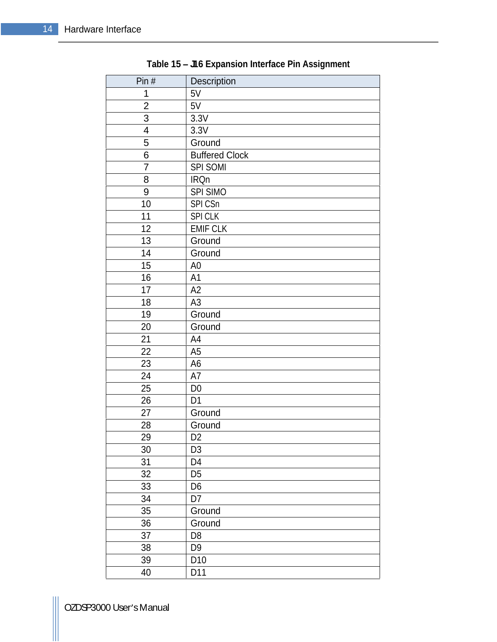| Pin $#$            | Description                     |
|--------------------|---------------------------------|
|                    | 5V                              |
| $\overline{2}$     | 5V                              |
| $\mathbf{3}$       | 3.3V                            |
| $\mathbf{\Lambda}$ | 3.3V                            |
| $5\overline{)}$    | Ground                          |
| 6                  | <b>Buffered Clock</b>           |
| $\overline{7}$     | <b>SPI SOMI</b>                 |
| 8                  | <b>IRQn</b>                     |
| 9                  | SPI SIMO                        |
| 10                 | SPICSn                          |
| 11                 | SPI CLK                         |
| 12                 | <b>EMIF CLK</b>                 |
| 13                 | Ground                          |
| 14                 | Ground                          |
| 15                 | A <sub>0</sub>                  |
| 16                 | A1                              |
| 17                 | A2                              |
| 18                 | A3                              |
| 19                 | Ground                          |
| 20                 | Ground                          |
| 21                 | A4                              |
| 22                 | A <sub>5</sub>                  |
| 23                 | A <sub>6</sub>                  |
| 24                 | A7                              |
| 25                 | D <sub>0</sub>                  |
| 26                 | D1                              |
| 27                 | Ground<br>Ground                |
| 28<br>29           |                                 |
| 30 <sup>2</sup>    | D2<br>$\boxed{D3}$              |
|                    | $\overline{D4}$                 |
| 31                 | $\overline{D5}$                 |
| $\frac{32}{33}$    |                                 |
|                    | $\frac{10}{100}$                |
| 34<br>35           |                                 |
|                    | Ground                          |
| 36                 | Ground                          |
| $\overline{37}$    | $\boxed{D8}$<br>$\overline{D9}$ |
| 38                 | D10                             |
| 39<br>40           | D11                             |

**Table 15 J16 Expansion Interface Pin Assignment**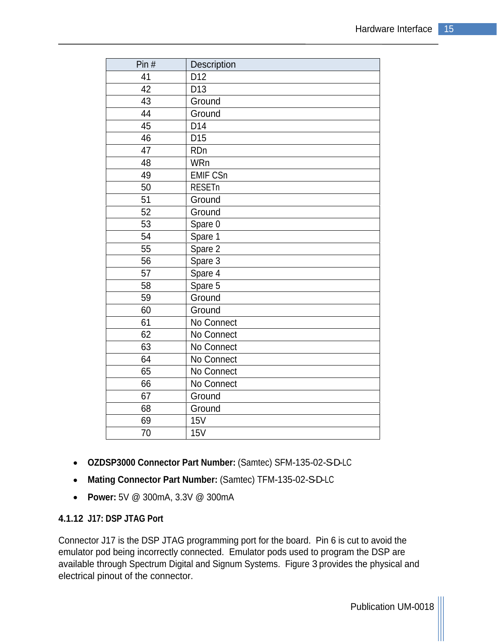| Pin# | <b>Description</b> |
|------|--------------------|
| 41   | D <sub>12</sub>    |
| 42   | D <sub>13</sub>    |
| 43   | Ground             |
| 44   | Ground             |
| 45   | D <sub>14</sub>    |
| 46   | D <sub>15</sub>    |
| 47   | RDn                |
| 48   | WRn                |
| 49   | <b>EMIF CSn</b>    |
| 50   | RESETn             |
| 51   | Ground             |
| 52   | Ground             |
| 53   | Spare 0            |
| 54   | Spare 1            |
| 55   | Spare 2            |
| 56   | Spare 3            |
| 57   | Spare 4            |
| 58   | Spare 5            |
| 59   | Ground             |
| 60   | Ground             |
| 61   | No Connect         |
| 62   | No Connect         |
| 63   | No Connect         |
| 64   | No Connect         |
| 65   | No Connect         |
| 66   | No Connect         |
| 67   | Ground             |
| 68   | Ground             |
| 69   | 15V                |
| 70   | 15V                |

- OZDSP3000 Connector Part Number: (Samtec) SFM-135-02-S-D-LC
- Mating Connector Part Number: (Samtec) TFM-135-02-SD-LC
- **Power:** 5V @ 300mA, 3.3V @ 300mA

#### **4.1.12 J17: DSP JTAG Port**

Connector J17 is the DSP JTAG programming port for the board. Pin 6 is cut to avoid the emulator pod being incorrectly connected. Emulator pods used to program the DSP are available through Spectrum Digital and Signum Systems. Figure 3 provides the physical and electrical pinout of the connector.

Publication UM-0018 |||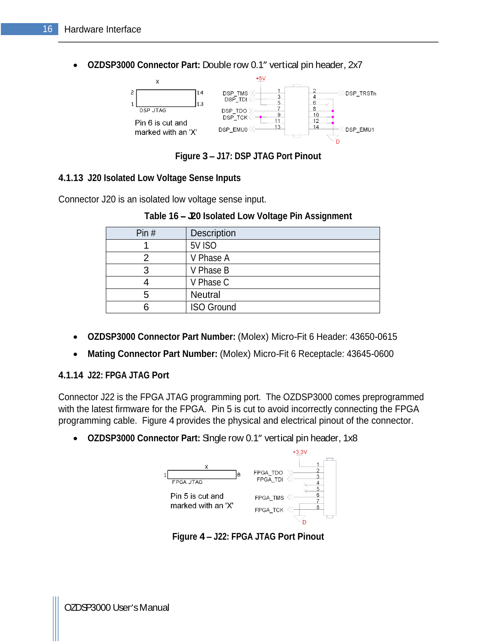**OZDSP3000 Connector Part: Double row 0.1" vertical pin header, 2x7** 



**Figure 3 J17: DSP JTAG Port Pinout**

#### **4.1.13 J20 Isolated Low Voltage Sense Inputs**

Connector J20 is an isolated low voltage sense input.

| Pin# | Description       |
|------|-------------------|
|      | 5V ISO            |
|      | V Phase.          |
|      | V Phase B         |
|      | V Phase C         |
|      | Neutral           |
|      | <b>ISO Ground</b> |

| Table 16-<br><b>- Leo Isolated Low Voltage Pin Assignment</b> |  |
|---------------------------------------------------------------|--|
|                                                               |  |

- **OZDSP3000 Connector Part Number:** (Molex) Micro-Fit 6 Header: 43650-0615
- **Mating Connector Part Number:** (Molex) Micro-Fit 6 Receptacle: 43645-0600

#### **4.1.14 J22: FPGA JTAG Port**

Connector J22 is the FPGA JTAG programming port. The OZDSP3000 comes preprogrammed with the latest firmware for the FPGA. Pin 5 is cut to avoid incorrectly connecting the FPGA programming cable. Figure 4 provides the physical and electrical pinout of the connector.

• OZDSP3000 Connector Part: Single row 0.1" vertical pin header, 1x8



**Figure 4 J22: FPGA JTAG Port Pinout**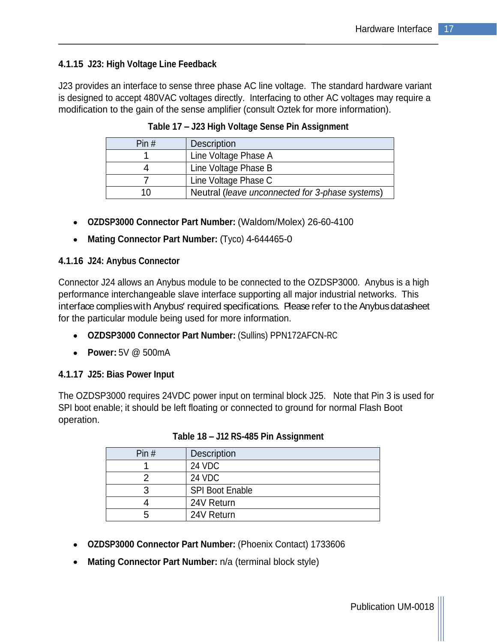#### **4.1.15 J23: High Voltage Line Feedback**

J23 provides an interface to sense three phase AC line voltage. The standard hardware variant is designed to accept 480VAC voltages directly. Interfacing to other AC voltages may require a modification to the gain of the sense amplifier (consult Oztek for more information).

| Pin# | Description                                     |
|------|-------------------------------------------------|
|      | Line Voltage Phase A                            |
|      | Line Voltage Phase B                            |
|      | Line Voltage Phase C                            |
|      | Neutral (leave unconnected for 3-phase systems) |

**Table 17 J23 High Voltage Sense Pin Assignment**

- **OZDSP3000 Connector Part Number:** (Waldom/Molex) 26-60-4100
- **Mating Connector Part Number:** (Tyco) 4-644465-0

#### **4.1.16 J24: Anybus Connector**

Connector J24 allows an Anybus module to be connected to the OZDSP3000. Anybus is a high performance interchangeable slave interface supporting all major industrial networks. This interface complies with Anybus' required specifications. Please refer to the Anybus datasheet for the particular module being used for more information.

- **OZDSP3000 Connector Part Number:** (Sullins) PPN172AFCN-RC
- **Power:** 5V @ 500mA

#### **4.1.17 J25: Bias Power Input**

The OZDSP3000 requires 24VDC power input on terminal block J25. Note that Pin 3 is used for SPI boot enable; it should be left floating or connected to ground for normal Flash Boot operation.

| Pin $#$ | Description     |
|---------|-----------------|
|         | <b>24 VDC</b>   |
|         | 24 VDC          |
|         | SPI Boot Enable |
|         | 24V Return      |
|         | 24V Return      |

**Table 18 J12 RS-485 Pin Assignment**

- **OZDSP3000 Connector Part Number:** (Phoenix Contact) 1733606
- **Mating Connector Part Number:** n/a (terminal block style)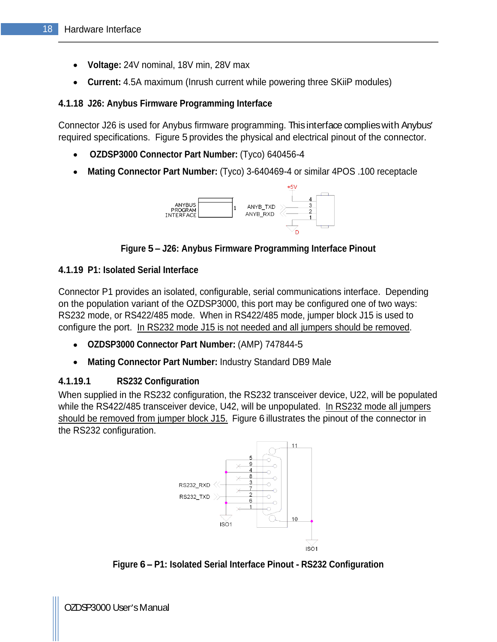- **Voltage:** 24V nominal, 18V min, 28V max
- **Current:** 4.5A maximum (Inrush current while powering three SKiiP modules)

#### **4.1.18 J26: Anybus Firmware Programming Interface**

Connector J26 is used for Anybus firmware programming. Thisinterface complieswith Anybus required specifications. Figure 5 provides the physical and electrical pinout of the connector.

- **OZDSP3000 Connector Part Number:** (Tyco) 640456-4
- **Mating Connector Part Number:** (Tyco) 3-640469-4 or similar 4POS .100 receptacle



**Figure 5 J26: Anybus Firmware Programming Interface Pinout**

#### **4.1.19 P1: Isolated Serial Interface**

Connector P1 provides an isolated, configurable, serial communications interface. Depending on the population variant of the OZDSP3000, this port may be configured one of two ways: RS232 mode, or RS422/485 mode. When in RS422/485 mode, jumper block J15 is used to configure the port. In RS232 mode J15 is not needed and all jumpers should be removed.

- **OZDSP3000 Connector Part Number:** (AMP) 747844-5
- $\bullet$ **Mating Connector Part Number:** Industry Standard DB9 Male

#### **4.1.19.1 RS232 Configuration**

When supplied in the RS232 configuration, the RS232 transceiver device, U22, will be populated while the RS422/485 transceiver device, U42, will be unpopulated. In RS232 mode all jumpers should be removed from jumper block J15. Figure 6 illustrates the pinout of the connector in the RS232 configuration.



**Figure 6 P1: Isolated Serial Interface Pinout - RS232 Configuration**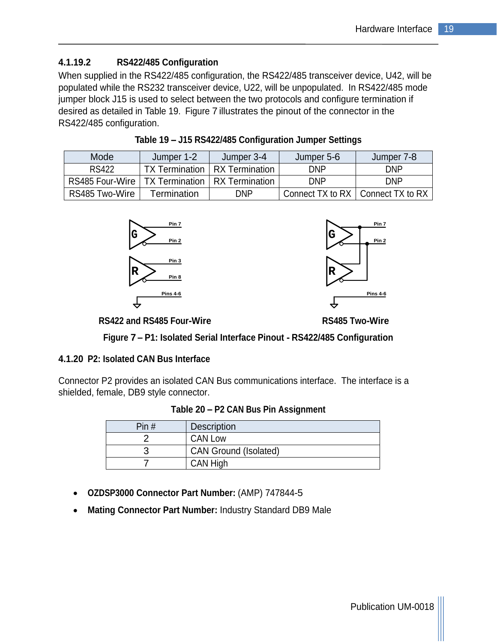#### **4.1.19.2 RS422/485 Configuration**

When supplied in the RS422/485 configuration, the RS422/485 transceiver device, U42, will be populated while the RS232 transceiver device, U22, will be unpopulated. In RS422/485 mode jumper block J15 is used to select between the two protocols and configure termination if desired as detailed in Table 19. Figure 7 illustrates the pinout of the connector in the RS422/485 configuration.

| Mode            |                                    | Jumper?        | Jumper 5-F                          | Jumper 7-8  |
|-----------------|------------------------------------|----------------|-------------------------------------|-------------|
| <b>RS422</b>    | $TV$ Torm<br>I A TEIH              | RX Termination | <b>DAID</b><br>וויש                 | <b>DAID</b> |
| RS485 Four-Wire | TX Termination   RX Termination    |                | חוזה<br>וויש                        | <b>DAID</b> |
| RS485 Two-Wire  | Termination<br><b>TEITHINGUOLI</b> | <b>DND</b>     | Connect TX to RX   Connect TX to RX |             |

**Table 19 J15 RS422/485 Configuration Jumper Settings**





**RS422 and RS485 Four-Wire RS485 Two-Wire**

**Figure 7 P1: Isolated Serial Interface Pinout - RS422/485 Configuration**

#### **4.1.20 P2: Isolated CAN Bus Interface**

Connector P2 provides an isolated CAN Bus communications interface. The interface is a shielded, female, DB9 style connector.

| Table 20 - P2 CAN Bus Pin Assignment |  |
|--------------------------------------|--|
|                                      |  |

| $\Box$<br>FIIIH | Description           |
|-----------------|-----------------------|
|                 | <b>CAN Low</b>        |
|                 | CAN Ground (Isolated) |
|                 | CAN High              |

- **OZDSP3000 Connector Part Number:** (AMP) 747844-5
- **Mating Connector Part Number:** Industry Standard DB9 Male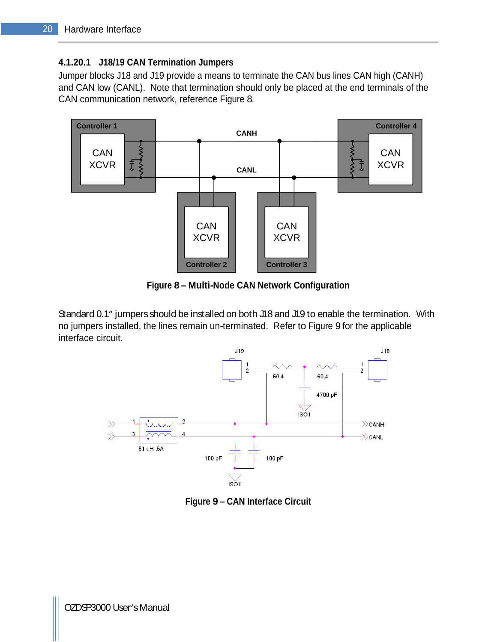#### **4.1.20.1 J18/19 CAN Termination Jumpers**

Jumper blocks J18 and J19 provide a means to terminate the CAN bus lines CAN high (CANH) and CAN low (CANL). Note that termination should only be placed at the end terminals of the



**Figure 8 Multi-Node CAN Network Configuration**

Standard 0.1" jumpers should be installed on both J18 and J19 to enable the termination. With no jumpers installed, the lines remain un-terminated. Refer to Figure 9 for the applicable interface circuit.



**Figure 9 CAN Interface Circuit**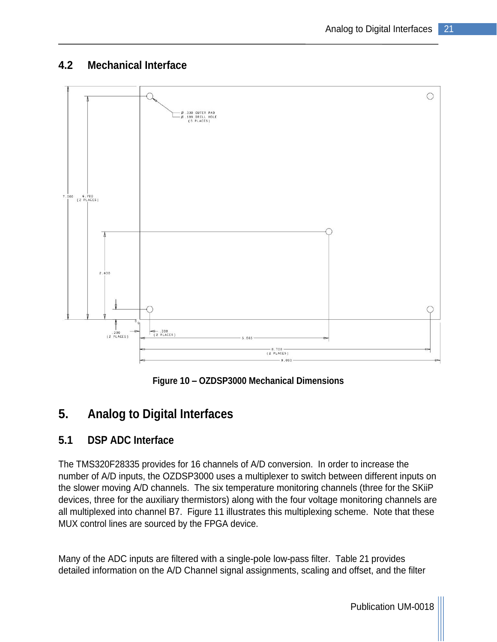## **4.2 Mechanical Interface**



**Figure 10 OZDSP3000 Mechanical Dimensions**

# **5. Analog to Digital Interfaces**

## **5.1 DSP ADC Interface**

The TMS320F28335 provides for 16 channels of A/D conversion. In order to increase the number of A/D inputs, the OZDSP3000 uses a multiplexer to switch between different inputs on the slower moving A/D channels. The six temperature monitoring channels (three for the SKiiP devices, three for the auxiliary thermistors) along with the four voltage monitoring channels are all multiplexed into channel B7. Figure 11 illustrates this multiplexing scheme. Note that these MUX control lines are sourced by the FPGA device.

Many of the ADC inputs are filtered with a single-pole low-pass filter. Table 21 provides detailed information on the A/D Channel signal assignments, scaling and offset, and the filter

Publication UM-0018 |||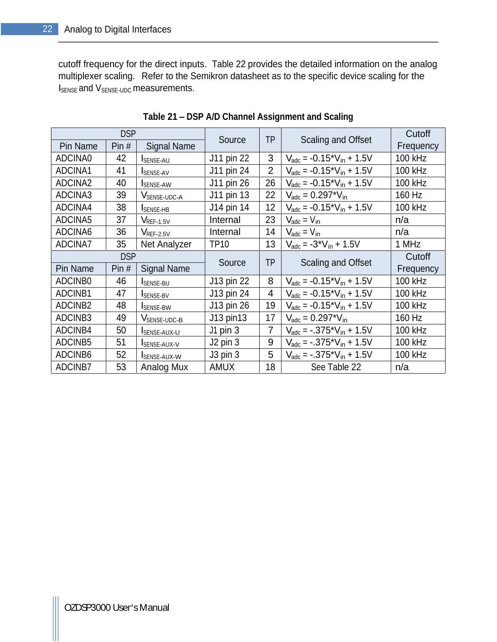cutoff frequency for the direct inputs. Table 22 provides the detailed information on the analog multiplexer scaling. Refer to the Semikron datasheet as to the specific device scaling for the I<sub>SENSE</sub> and V<sub>SENSE-UDC</sub> measurements.

| <b>Scaling and Offset</b><br>Source<br>Pin Name   Pin $#$   Signal Name<br>Frequency<br>J11 pin 22<br>100 kHz<br>$V_{\text{adc}} = -0.15 \times V_{\text{in}} + 1.5V$<br>SENSE-AU<br>100 kHz<br>J11 pin 24<br>2   $V_{\text{adc}} = -0.15 \times V_{\text{in}} + 1.5V$<br>SENSE-AV<br>100 kHz<br>  J11 pin 26   26   V <sub>adc</sub> = -0.15 <sup>*</sup> V <sub>in</sub> + 1.5V<br><b>SENSE-AW</b><br>40 -<br>160 Hz<br>J11 pin 13<br>22   $V_{\text{adc}} = 0.297 \times V_{\text{in}}$<br>VSENSE-UDC-A<br>100 kHz<br>  12   $V_{\text{adc}} = -0.15 \times V_{\text{in}} + 1.5V$<br>38<br>J14 pin 14<br>SENSE-HB<br>23 $V_{\text{adc}} = V_{\text{in}}$<br>$V_{REF-1.5V}$<br>Internal<br>n/a<br>1 ن<br>Internal<br>14 $V_{\text{adc}} = V_{\text{in}}$<br>n/a<br>$\mathsf{V}_{\mathsf{REF-2.5V}}$<br>ວບ<br>TP10<br>1 MHz<br>13 $V_{\text{adc}} = -3 V_{\text{in}} + 1.5V$<br>35   Net Analyzer<br><b>DSP</b><br>Cutoff<br>TD<br><b>Scaling and Offset</b><br>Source<br>  Pin $\#$   Signal Name<br>Frequency<br>J13 pin 22<br>100 kHz<br>$V_{\text{adc}} = -0.15 \times V_{\text{in}} + 1.5V$<br>SENSE-BU<br>40 I<br>100 kHz<br>J13 pin 24<br>4 $V_{\text{adc}} = -0.15 \times V_{\text{in}} + 1.5V$<br>SENSE-BV<br>J13 pin 26<br>100 kHz<br>  19   $V_{\text{adc}} = -0.15 \times V_{\text{in}} + 1.5V$<br><b>SENSE-BW</b><br>4ŏ -<br>160 Hz<br>J13 pin13<br>17 $V_{\text{adc}} = 0.297 \times V_{\text{in}}$<br>V <sub>SENSE-UDC-B</sub><br>49 -<br>100 kHz<br>$\big  V_{\text{adc}} = -.375 \times V_{\text{in}} + 1.5V$<br>J1 pin<br>50<br><b>I</b> SENSE-AUX-U<br>100 kHz<br>$J2$ pin 3<br>$\big  V_{\text{adc}} = -.375 \times V_{\text{in}} + 1.5V$<br>SENSE-AUX-V<br>100 kHz<br>J3 pin 3<br>$5 \mid V_{\text{adc}} = -.375 \cdot V_{\text{in}} + 1.5V$<br>52<br>SENSE-AUX-W<br>ADCINB7<br>AMUX<br>See Table 22<br>18<br>Analog Mux<br>53<br>n/a |          | <b>DSP</b> | <b>TD</b> | Cutoff |
|-------------------------------------------------------------------------------------------------------------------------------------------------------------------------------------------------------------------------------------------------------------------------------------------------------------------------------------------------------------------------------------------------------------------------------------------------------------------------------------------------------------------------------------------------------------------------------------------------------------------------------------------------------------------------------------------------------------------------------------------------------------------------------------------------------------------------------------------------------------------------------------------------------------------------------------------------------------------------------------------------------------------------------------------------------------------------------------------------------------------------------------------------------------------------------------------------------------------------------------------------------------------------------------------------------------------------------------------------------------------------------------------------------------------------------------------------------------------------------------------------------------------------------------------------------------------------------------------------------------------------------------------------------------------------------------------------------------------------------------------------------------------------------------------------------------------------------------------------------------|----------|------------|-----------|--------|
|                                                                                                                                                                                                                                                                                                                                                                                                                                                                                                                                                                                                                                                                                                                                                                                                                                                                                                                                                                                                                                                                                                                                                                                                                                                                                                                                                                                                                                                                                                                                                                                                                                                                                                                                                                                                                                                             |          |            |           |        |
|                                                                                                                                                                                                                                                                                                                                                                                                                                                                                                                                                                                                                                                                                                                                                                                                                                                                                                                                                                                                                                                                                                                                                                                                                                                                                                                                                                                                                                                                                                                                                                                                                                                                                                                                                                                                                                                             | ADCINA0  |            |           |        |
|                                                                                                                                                                                                                                                                                                                                                                                                                                                                                                                                                                                                                                                                                                                                                                                                                                                                                                                                                                                                                                                                                                                                                                                                                                                                                                                                                                                                                                                                                                                                                                                                                                                                                                                                                                                                                                                             | ADCINA1  |            |           |        |
|                                                                                                                                                                                                                                                                                                                                                                                                                                                                                                                                                                                                                                                                                                                                                                                                                                                                                                                                                                                                                                                                                                                                                                                                                                                                                                                                                                                                                                                                                                                                                                                                                                                                                                                                                                                                                                                             | ADCINA2  |            |           |        |
|                                                                                                                                                                                                                                                                                                                                                                                                                                                                                                                                                                                                                                                                                                                                                                                                                                                                                                                                                                                                                                                                                                                                                                                                                                                                                                                                                                                                                                                                                                                                                                                                                                                                                                                                                                                                                                                             | ADCINA3  |            |           |        |
|                                                                                                                                                                                                                                                                                                                                                                                                                                                                                                                                                                                                                                                                                                                                                                                                                                                                                                                                                                                                                                                                                                                                                                                                                                                                                                                                                                                                                                                                                                                                                                                                                                                                                                                                                                                                                                                             | ADCINA4  |            |           |        |
|                                                                                                                                                                                                                                                                                                                                                                                                                                                                                                                                                                                                                                                                                                                                                                                                                                                                                                                                                                                                                                                                                                                                                                                                                                                                                                                                                                                                                                                                                                                                                                                                                                                                                                                                                                                                                                                             | ADCINA5  |            |           |        |
|                                                                                                                                                                                                                                                                                                                                                                                                                                                                                                                                                                                                                                                                                                                                                                                                                                                                                                                                                                                                                                                                                                                                                                                                                                                                                                                                                                                                                                                                                                                                                                                                                                                                                                                                                                                                                                                             | ADCINA6  |            |           |        |
|                                                                                                                                                                                                                                                                                                                                                                                                                                                                                                                                                                                                                                                                                                                                                                                                                                                                                                                                                                                                                                                                                                                                                                                                                                                                                                                                                                                                                                                                                                                                                                                                                                                                                                                                                                                                                                                             | ADCINA7  |            |           |        |
|                                                                                                                                                                                                                                                                                                                                                                                                                                                                                                                                                                                                                                                                                                                                                                                                                                                                                                                                                                                                                                                                                                                                                                                                                                                                                                                                                                                                                                                                                                                                                                                                                                                                                                                                                                                                                                                             |          |            |           |        |
|                                                                                                                                                                                                                                                                                                                                                                                                                                                                                                                                                                                                                                                                                                                                                                                                                                                                                                                                                                                                                                                                                                                                                                                                                                                                                                                                                                                                                                                                                                                                                                                                                                                                                                                                                                                                                                                             |          |            |           |        |
|                                                                                                                                                                                                                                                                                                                                                                                                                                                                                                                                                                                                                                                                                                                                                                                                                                                                                                                                                                                                                                                                                                                                                                                                                                                                                                                                                                                                                                                                                                                                                                                                                                                                                                                                                                                                                                                             | Pin Name |            |           |        |
|                                                                                                                                                                                                                                                                                                                                                                                                                                                                                                                                                                                                                                                                                                                                                                                                                                                                                                                                                                                                                                                                                                                                                                                                                                                                                                                                                                                                                                                                                                                                                                                                                                                                                                                                                                                                                                                             | ADCINB0  |            |           |        |
|                                                                                                                                                                                                                                                                                                                                                                                                                                                                                                                                                                                                                                                                                                                                                                                                                                                                                                                                                                                                                                                                                                                                                                                                                                                                                                                                                                                                                                                                                                                                                                                                                                                                                                                                                                                                                                                             | ADCINB1  |            |           |        |
|                                                                                                                                                                                                                                                                                                                                                                                                                                                                                                                                                                                                                                                                                                                                                                                                                                                                                                                                                                                                                                                                                                                                                                                                                                                                                                                                                                                                                                                                                                                                                                                                                                                                                                                                                                                                                                                             | ADCINB2  |            |           |        |
|                                                                                                                                                                                                                                                                                                                                                                                                                                                                                                                                                                                                                                                                                                                                                                                                                                                                                                                                                                                                                                                                                                                                                                                                                                                                                                                                                                                                                                                                                                                                                                                                                                                                                                                                                                                                                                                             | ADCINB3  |            |           |        |
|                                                                                                                                                                                                                                                                                                                                                                                                                                                                                                                                                                                                                                                                                                                                                                                                                                                                                                                                                                                                                                                                                                                                                                                                                                                                                                                                                                                                                                                                                                                                                                                                                                                                                                                                                                                                                                                             | ADCINB4  |            |           |        |
|                                                                                                                                                                                                                                                                                                                                                                                                                                                                                                                                                                                                                                                                                                                                                                                                                                                                                                                                                                                                                                                                                                                                                                                                                                                                                                                                                                                                                                                                                                                                                                                                                                                                                                                                                                                                                                                             | ADCINB5  |            |           |        |
|                                                                                                                                                                                                                                                                                                                                                                                                                                                                                                                                                                                                                                                                                                                                                                                                                                                                                                                                                                                                                                                                                                                                                                                                                                                                                                                                                                                                                                                                                                                                                                                                                                                                                                                                                                                                                                                             | ADCINB6  |            |           |        |

**Table 21 DSP A/D Channel Assignment and Scaling**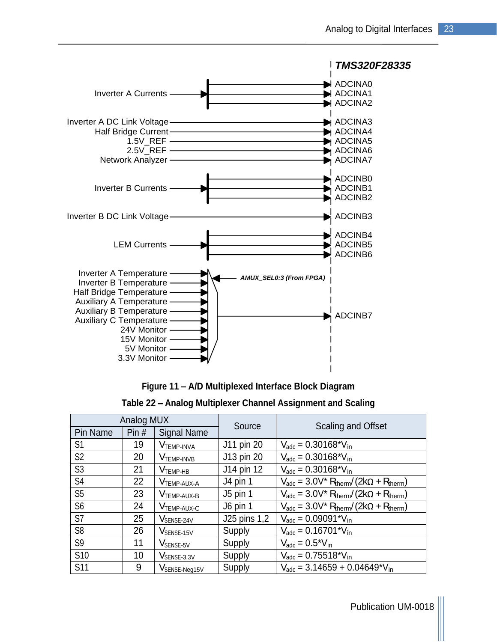

**Figure 11 A/D Multiplexed Interface Block Diagram**

| Table 22 – Analog Multiplexer Channel Assig<br>gnment and Scaling |  |
|-------------------------------------------------------------------|--|
|                                                                   |  |

|                 | Analog MUX     |                         |                | Scaling and Offset                                                          |
|-----------------|----------------|-------------------------|----------------|-----------------------------------------------------------------------------|
| <b>Pin Name</b> |                | Pin $\#$   Signal Name  | Source         |                                                                             |
| S <sub>1</sub>  |                | <b>V</b> TEMP-INVA      | J11 pin 20     | $V_{\text{adc}} = 0.30168 \text{*V}_{\text{in}}$                            |
| S <sub>2</sub>  | $\Omega$<br>∠∪ | <b>VTEMP-INVB</b>       | J13 pin 20     | $V_{\text{adc}} = 0.30168 \times V_{\text{in}}$                             |
| S3              |                | <b>V</b> темр-нв        | J14 pin 12     | $V_{\text{adc}} = 0.30168^{\ast}V_{\text{in}}$                              |
| S <sub>4</sub>  | $\Omega$<br>ZZ | <b>V</b> TEMP-AUX-A     | J4 pin         | $V_{\text{adc}} = 3.0 V^* R_{\text{therm}} / (2k\Omega + R_{\text{therm}})$ |
| S <sub>5</sub>  | 23             | <b>V</b> TEMP-AUX-B     | $J5$ pin 1     | $V_{\text{adc}} = 3.0 V^* R_{\text{therm}} / (2k\Omega + R_{\text{therm}})$ |
| S <sub>6</sub>  |                | <b>V</b> TEMP-AUX-C     | J6 pin 1       | $V_{\text{adc}} = 3.0 V^* R_{\text{therm}} / (2k\Omega + R_{\text{therm}})$ |
| S7              | $\sim$         | VSENSE-24V              | $J25$ pins 1,2 | $V_{\text{adc}} = 0.09091 \text{ *V}_{\text{in}}$                           |
| S <sub>8</sub>  | $\sim$         | VSENSE-15V              | Supply         | $V_{\text{adc}} = 0.16701 \times V_{\text{in}}$                             |
| S <sub>9</sub>  | $\overline{A}$ | V <sub>SENSE-5V</sub>   | Supply         | $V_{\text{adc}} = 0.5^{\ast}V_{\text{in}}$                                  |
| S10             |                | V <sub>SENSE-3.3V</sub> | Supply         | $V_{\text{adc}} = 0.75518^{\ast}V_{\text{in}}$                              |
| <b>S11</b>      |                | VSENSE-Neg15V           | Supply         | $V_{\text{adc}} = 3.14659 + 0.04649^{\ast}V_{\text{in}}$                    |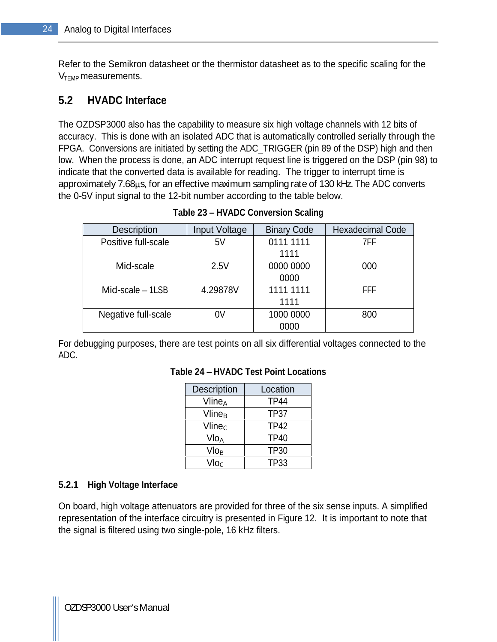Refer to the Semikron datasheet or the thermistor datasheet as to the specific scaling for the  $V<sub>TEMP</sub>$  measurements.

## **5.2 HVADC Interface**

The OZDSP3000 also has the capability to measure six high voltage channels with 12 bits of accuracy. This is done with an isolated ADC that is automatically controlled serially through the FPGA. Conversions are initiated by setting the ADC\_TRIGGER (pin 89 of the DSP) high and then low. When the process is done, an ADC interrupt request line is triggered on the DSP (pin 98) to indicate that the converted data is available for reading. The trigger to interrupt time is approximately 7.68 µs, for an effective maximum sampling rate of 130 kHz. The ADC converts the 0-5V input signal to the 12-bit number according to the table below.

| Description         | Input Voltage | <b>Binary Code</b> | <b>Hexadecimal Code</b> |
|---------------------|---------------|--------------------|-------------------------|
| Positive full-scale | E1<br>◡▾      | 0111 1111          | 7FF                     |
|                     |               | 1111               |                         |
| Mid-scale           | 2.5V          | 0000 0000          | 000                     |
|                     |               | 0000               |                         |
| Mid-scale - 1LSB    | 4.29878V      | 1111 1111          | <b>FFF</b>              |
|                     |               | 1111               |                         |
| Negative full-scale | $\bigcap$     | 1000 0000          | 800                     |
|                     |               | 0000               |                         |

**Table 23 HVADC Conversion Scaling**

For debugging purposes, there are test points on all six differential voltages connected to the ADC.

| Description               | Location    |
|---------------------------|-------------|
| Vline <sub>A</sub>        | <b>TP44</b> |
| $V$ line $_B$             | <b>TP37</b> |
| Vlinec                    | TP42        |
| Vlo <sub>A</sub>          | <b>TP40</b> |
| $Vlo_{B}$                 | <b>TP30</b> |
| $\mathsf{Vlo}_\mathsf{C}$ | <b>TP33</b> |

#### **Table 24 HVADC Test Point Locations**

#### **5.2.1 High Voltage Interface**

On board, high voltage attenuators are provided for three of the six sense inputs. A simplified representation of the interface circuitry is presented in Figure 12. It is important to note that the signal is filtered using two single-pole, 16 kHz filters.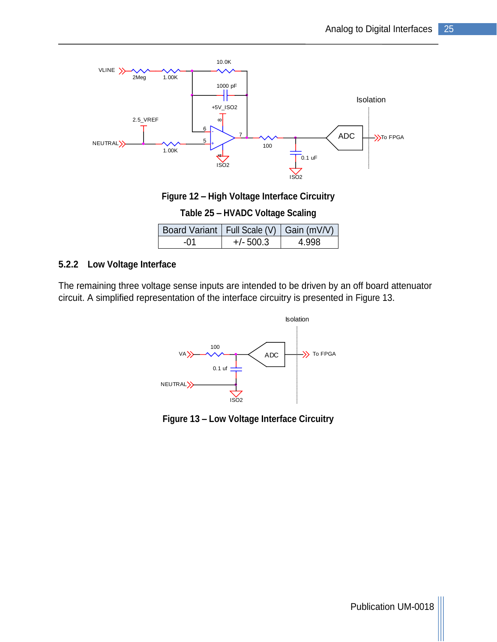

**Figure 12 High Voltage Interface Circuitry**

#### **Table 25 HVADC Voltage Scaling**

| Full Scale (V)               | Board Variant   I | Gain (mV/V) |
|------------------------------|-------------------|-------------|
| $E\cap\cap$<br>-()1<br>ാ∪∪.ა |                   | 4.998       |

#### **5.2.2 Low Voltage Interface**

The remaining three voltage sense inputs are intended to be driven by an off board attenuator circuit. A simplified representation of the interface circuitry is presented in Figure 13.



**Figure 13 Low Voltage Interface Circuitry**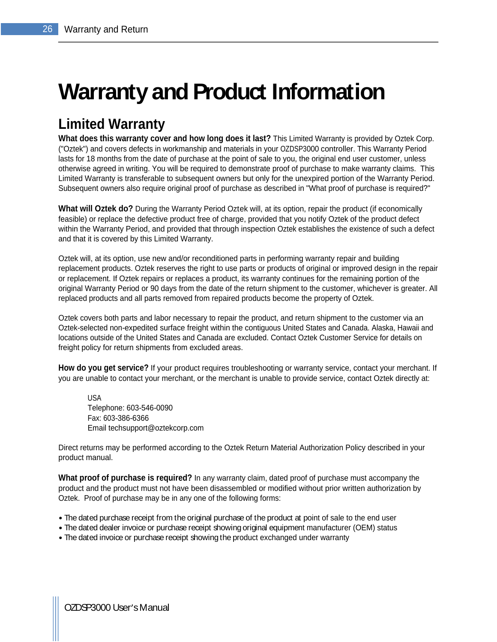# **Warranty and Product Information**

# **Limited Warranty**

**What does this warranty cover and how long does it last?** This Limited Warranty is provided by Oztek Corp. ("Oztek") and covers defects in workmanship and materials in your OZDSP3000 controller. This Warranty Period lasts for 18 months from the date of purchase at the point of sale to you, the original end user customer, unless otherwise agreed in writing. You will be required to demonstrate proof of purchase to make warranty claims. This Limited Warranty is transferable to subsequent owners but only for the unexpired portion of the Warranty Period. Subsequent owners also require original proof of purchase as described in "What proof of purchase is required?"

**What will Oztek do?** During the Warranty Period Oztek will, at its option, repair the product (if economically feasible) or replace the defective product free of charge, provided that you notify Oztek of the product defect within the Warranty Period, and provided that through inspection Oztek establishes the existence of such a defect and that it is covered by this Limited Warranty.

Oztek will, at its option, use new and/or reconditioned parts in performing warranty repair and building replacement products. Oztek reserves the right to use parts or products of original or improved design in the repair or replacement. If Oztek repairs or replaces a product, its warranty continues for the remaining portion of the original Warranty Period or 90 days from the date of the return shipment to the customer, whichever is greater. All replaced products and all parts removed from repaired products become the property of Oztek.

Oztek covers both parts and labor necessary to repair the product, and return shipment to the customer via an Oztek-selected non-expedited surface freight within the contiguous United States and Canada. Alaska, Hawaii and locations outside of the United States and Canada are excluded. Contact Oztek Customer Service for details on freight policy for return shipments from excluded areas.

**How do you get service?** If your product requires troubleshooting or warranty service, contact your merchant. If you are unable to contact your merchant, or the merchant is unable to provide service, contact Oztek directly at:

USA and the contract of the contract of the contract of the contract of the contract of the contract of the contract of the contract of the contract of the contract of the contract of the contract of the contract of the co Telephone: 603-546-0090 Fax: 603-386-6366 Email techsupport@oztekcorp.com

Direct returns may be performed according to the Oztek Return Material Authorization Policy described in your product manual.

**What proof of purchase is required?** In any warranty claim, dated proof of purchase must accompany the product and the product must not have been disassembled or modified without prior written authorization by Oztek. Proof of purchase may be in any one of the following forms:

- The dated purchase receipt from the original purchase of the product at point of sale to the end user
- The dated dealer invoice or purchase receipt showing original equipment manufacturer (OEM) status
- The dated invoice or purchase receipt showing the product exchanged under warranty

OZDSP3000 User's Manual control of the control of the control of the control of the control of the control of the control of the control of the control of the control of the control of the control of the control of the con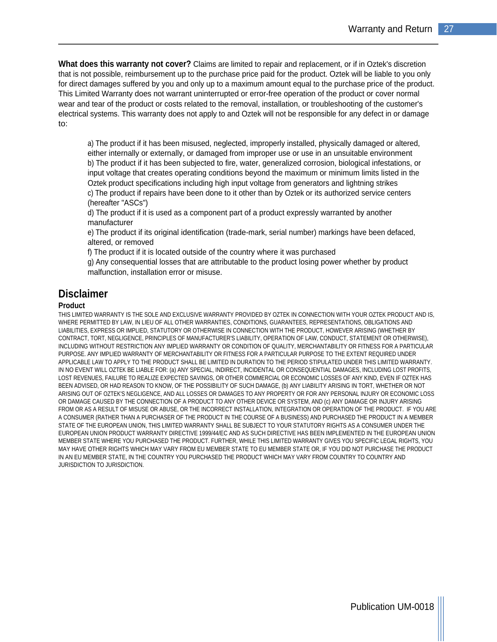**What does this warranty not cover?** Claims are limited to repair and replacement, or if in Oztek's discretion that is not possible, reimbursement up to the purchase price paid for the product. Oztek will be liable to you only for direct damages suffered by you and only up to a maximum amount equal to the purchase price of the product. This Limited Warranty does not warrant uninterrupted or error-free operation of the product or cover normal wear and tear of the product or costs related to the removal, installation, or troubleshooting of the customer's electrical systems. This warranty does not apply to and Oztek will not be responsible for any defect in or damage to:

a) The product if it has been misused, neglected, improperly installed, physically damaged or altered, either internally or externally, or damaged from improper use or use in an unsuitable environment b) The product if it has been subjected to fire, water, generalized corrosion, biological infestations, or input voltage that creates operating conditions beyond the maximum or minimum limits listed in the Oztek product specifications including high input voltage from generators and lightning strikes c) The product if repairs have been done to it other than by Oztek or its authorized service centers (hereafter "ASCs")

d) The product if it is used as a component part of a product expressly warranted by another manufacturer

e) The product if its original identification (trade-mark, serial number) markings have been defaced, altered, or removed

f) The product if it is located outside of the country where it was purchased

g) Any consequential losses that are attributable to the product losing power whether by product malfunction, installation error or misuse.

#### **Disclaimer**

#### **Product**

THIS LIMITED WARRANTY IS THE SOLE AND EXCLUSIVE WARRANTY PROVIDED BY OZTEK IN CONNECTION WITH YOUR OZTEK PRODUCT AND IS, WHERE PERMITTED BY LAW, IN LIEU OF ALL OTHER WARRANTIES, CONDITIONS, GUARANTEES, REPRESENTATIONS, OBLIGATIONS AND LIABILITIES, EXPRESS OR IMPLIED, STATUTORY OR OTHERWISE IN CONNECTION WITH THE PRODUCT, HOWEVER ARISING (WHETHER BY CONTRACT, TORT, NEGLIGENCE, PRINCIPLES OF MANUFACTURER'S LIABILITY, OPERATION OF LAW, CONDUCT, STATEMENT OR OTHERWISE), INCLUDING WITHOUT RESTRICTION ANY IMPLIED WARRANTY OR CONDITION OF QUALITY, MERCHANTABILITY OR FITNESS FOR A PARTICULAR PURPOSE. ANY IMPLIED WARRANTY OF MERCHANTABILITY OR FITNESS FOR A PARTICULAR PURPOSE TO THE EXTENT REQUIRED UNDER APPLICABLE LAW TO APPLY TO THE PRODUCT SHALL BE LIMITED IN DURATION TO THE PERIOD STIPULATED UNDER THIS LIMITED WARRANTY. IN NO EVENT WILL OZTEK BE LIABLE FOR: (a) ANY SPECIAL, INDIRECT, INCIDENTAL OR CONSEQUENTIAL DAMAGES, INCLUDING LOST PROFITS, LOST REVENUES, FAILURE TO REALIZE EXPECTED SAVINGS, OR OTHER COMMERCIAL OR ECONOMIC LOSSES OF ANY KIND, EVEN IF OZTEK HAS BEEN ADVISED, OR HAD REASON TO KNOW, OF THE POSSIBILITY OF SUCH DAMAGE, (b) ANY LIABILITY ARISING IN TORT, WHETHER OR NOT ARISING OUT OF OZTEK'S NEGLIGENCE, AND ALL LOSSES OR DAMAGES TO ANY PROPERTY OR FOR ANY PERSONAL INJURY OR ECONOMIC LOSS OR DAMAGE CAUSED BY THE CONNECTION OF A PRODUCT TO ANY OTHER DEVICE OR SYSTEM, AND (c) ANY DAMAGE OR INJURY ARISING FROM OR AS A RESULT OF MISUSE OR ABUSE, OR THE INCORRECT INSTALLATION, INTEGRATION OR OPERATION OF THE PRODUCT. IF YOU ARE A CONSUMER (RATHER THAN A PURCHASER OF THE PRODUCT IN THE COURSE OF A BUSINESS) AND PURCHASED THE PRODUCT IN A MEMBER STATE OF THE EUROPEAN UNION, THIS LIMITED WARRANTY SHALL BE SUBJECT TO YOUR STATUTORY RIGHTS AS A CONSUMER UNDER THE EUROPEAN UNION PRODUCT WARRANTY DIRECTIVE 1999/44/EC AND AS SUCH DIRECTIVE HAS BEEN IMPLEMENTED IN THE EUROPEAN UNION MEMBER STATE WHERE YOU PURCHASED THE PRODUCT. FURTHER, WHILE THIS LIMITED WARRANTY GIVES YOU SPECIFIC LEGAL RIGHTS, YOU MAY HAVE OTHER RIGHTS WHICH MAY VARY FROM EU MEMBER STATE TO EU MEMBER STATE OR, IF YOU DID NOT PURCHASE THE PRODUCT IN AN EU MEMBER STATE, IN THE COUNTRY YOU PURCHASED THE PRODUCT WHICH MAY VARY FROM COUNTRY TO COUNTRY AND JURISDICTION TO JURISDICTION.